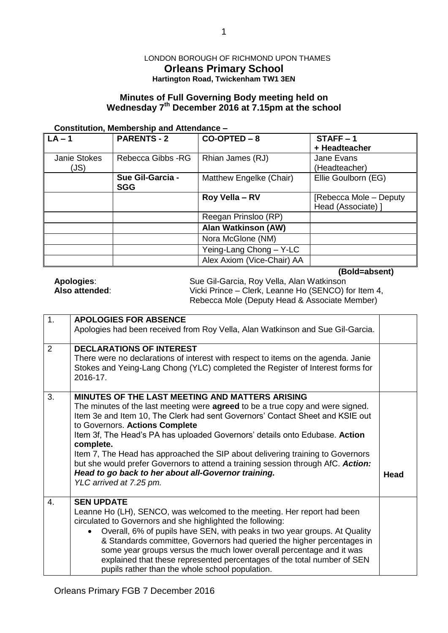## LONDON BOROUGH OF RICHMOND UPON THAMES **Orleans Primary School Hartington Road, Twickenham TW1 3EN**

# **Minutes of Full Governing Body meeting held on Wednesday 7 th December 2016 at 7.15pm at the school**

#### **Constitution, Membership and Attendance –**

| $\sqrt{LA} - 1$      | <b>PARENTS - 2</b>             | $CO-OPTED - 8$             | $STATE - 1$<br>+ Headteacher                 |
|----------------------|--------------------------------|----------------------------|----------------------------------------------|
| Janie Stokes<br>(JS) | Rebecca Gibbs -RG              | Rhian James (RJ)           | Jane Evans<br>(Headteacher)                  |
|                      | Sue Gil-Garcia -<br><b>SGG</b> | Matthew Engelke (Chair)    | Ellie Goulborn (EG)                          |
|                      |                                | Roy Vella - RV             | [Rebecca Mole - Deputy<br>Head (Associate) ] |
|                      |                                | Reegan Prinsloo (RP)       |                                              |
|                      |                                | <b>Alan Watkinson (AW)</b> |                                              |
|                      |                                | Nora McGlone (NM)          |                                              |
|                      |                                | Yeing-Lang Chong - Y-LC    |                                              |
|                      |                                | Alex Axiom (Vice-Chair) AA |                                              |

**(Bold=absent)**

| Apologies:     | Sue Gil-Garcia, Roy Vella, Alan Watkinson           |
|----------------|-----------------------------------------------------|
| Also attended: | Vicki Prince – Clerk, Leanne Ho (SENCO) for Item 4, |
|                | Rebecca Mole (Deputy Head & Associate Member)       |

| 1. | <b>APOLOGIES FOR ABSENCE</b>                                                                                                                                                                                                                                                                                                                                                                                                                                                                                                                                                                                           |             |
|----|------------------------------------------------------------------------------------------------------------------------------------------------------------------------------------------------------------------------------------------------------------------------------------------------------------------------------------------------------------------------------------------------------------------------------------------------------------------------------------------------------------------------------------------------------------------------------------------------------------------------|-------------|
|    | Apologies had been received from Roy Vella, Alan Watkinson and Sue Gil-Garcia.                                                                                                                                                                                                                                                                                                                                                                                                                                                                                                                                         |             |
| 2  | <b>DECLARATIONS OF INTEREST</b><br>There were no declarations of interest with respect to items on the agenda. Janie<br>Stokes and Yeing-Lang Chong (YLC) completed the Register of Interest forms for<br>2016-17.                                                                                                                                                                                                                                                                                                                                                                                                     |             |
| 3. | <b>MINUTES OF THE LAST MEETING AND MATTERS ARISING</b><br>The minutes of the last meeting were <b>agreed</b> to be a true copy and were signed.<br>Item 3e and Item 10, The Clerk had sent Governors' Contact Sheet and KSIE out<br>to Governors. Actions Complete<br>Item 3f, The Head's PA has uploaded Governors' details onto Edubase. Action<br>complete.<br>Item 7, The Head has approached the SIP about delivering training to Governors<br>but she would prefer Governors to attend a training session through AfC. Action:<br>Head to go back to her about all-Governor training.<br>YLC arrived at 7.25 pm. | <b>Head</b> |
| 4. | <b>SEN UPDATE</b><br>Leanne Ho (LH), SENCO, was welcomed to the meeting. Her report had been<br>circulated to Governors and she highlighted the following:<br>Overall, 6% of pupils have SEN, with peaks in two year groups. At Quality<br>$\bullet$<br>& Standards committee, Governors had queried the higher percentages in<br>some year groups versus the much lower overall percentage and it was<br>explained that these represented percentages of the total number of SEN<br>pupils rather than the whole school population.                                                                                   |             |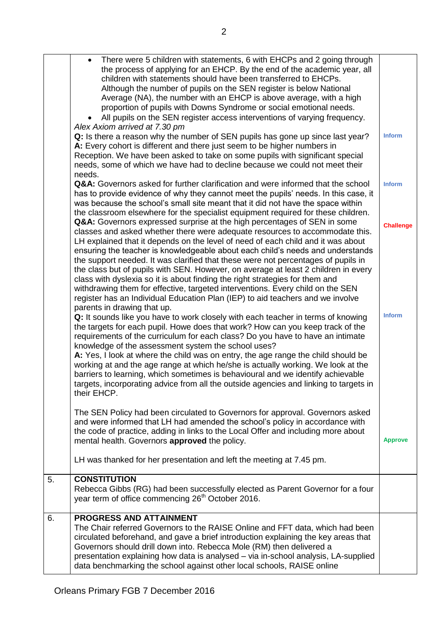|    | There were 5 children with statements, 6 with EHCPs and 2 going through<br>$\bullet$<br>the process of applying for an EHCP. By the end of the academic year, all<br>children with statements should have been transferred to EHCPs.<br>Although the number of pupils on the SEN register is below National<br>Average (NA), the number with an EHCP is above average, with a high<br>proportion of pupils with Downs Syndrome or social emotional needs.<br>All pupils on the SEN register access interventions of varying frequency.<br>Alex Axiom arrived at 7.30 pm                                                                                                                                                                                                                                                                                                          |                                   |
|----|----------------------------------------------------------------------------------------------------------------------------------------------------------------------------------------------------------------------------------------------------------------------------------------------------------------------------------------------------------------------------------------------------------------------------------------------------------------------------------------------------------------------------------------------------------------------------------------------------------------------------------------------------------------------------------------------------------------------------------------------------------------------------------------------------------------------------------------------------------------------------------|-----------------------------------|
|    | Q: Is there a reason why the number of SEN pupils has gone up since last year?<br>A: Every cohort is different and there just seem to be higher numbers in<br>Reception. We have been asked to take on some pupils with significant special<br>needs, some of which we have had to decline because we could not meet their<br>needs.                                                                                                                                                                                                                                                                                                                                                                                                                                                                                                                                             | <b>Inform</b>                     |
|    | <b>Q&amp;A:</b> Governors asked for further clarification and were informed that the school<br>has to provide evidence of why they cannot meet the pupils' needs. In this case, it<br>was because the school's small site meant that it did not have the space within<br>the classroom elsewhere for the specialist equipment required for these children.                                                                                                                                                                                                                                                                                                                                                                                                                                                                                                                       | <b>Inform</b>                     |
|    | Q&A: Governors expressed surprise at the high percentages of SEN in some<br>classes and asked whether there were adequate resources to accommodate this.<br>LH explained that it depends on the level of need of each child and it was about<br>ensuring the teacher is knowledgeable about each child's needs and understands<br>the support needed. It was clarified that these were not percentages of pupils in<br>the class but of pupils with SEN. However, on average at least 2 children in every<br>class with dyslexia so it is about finding the right strategies for them and<br>withdrawing them for effective, targeted interventions. Every child on the SEN<br>register has an Individual Education Plan (IEP) to aid teachers and we involve<br>parents in drawing that up.<br>Q: It sounds like you have to work closely with each teacher in terms of knowing | <b>Challenge</b><br><b>Inform</b> |
|    | the targets for each pupil. Howe does that work? How can you keep track of the<br>requirements of the curriculum for each class? Do you have to have an intimate<br>knowledge of the assessment system the school uses?<br>A: Yes, I look at where the child was on entry, the age range the child should be<br>working at and the age range at which he/she is actually working. We look at the<br>barriers to learning, which sometimes is behavioural and we identify achievable<br>targets, incorporating advice from all the outside agencies and linking to targets in<br>their EHCP.                                                                                                                                                                                                                                                                                      |                                   |
|    | The SEN Policy had been circulated to Governors for approval. Governors asked<br>and were informed that LH had amended the school's policy in accordance with<br>the code of practice, adding in links to the Local Offer and including more about<br>mental health. Governors approved the policy.                                                                                                                                                                                                                                                                                                                                                                                                                                                                                                                                                                              | <b>Approve</b>                    |
|    | LH was thanked for her presentation and left the meeting at 7.45 pm.                                                                                                                                                                                                                                                                                                                                                                                                                                                                                                                                                                                                                                                                                                                                                                                                             |                                   |
| 5. | <b>CONSTITUTION</b><br>Rebecca Gibbs (RG) had been successfully elected as Parent Governor for a four<br>year term of office commencing 26 <sup>th</sup> October 2016.                                                                                                                                                                                                                                                                                                                                                                                                                                                                                                                                                                                                                                                                                                           |                                   |
| 6. | <b>PROGRESS AND ATTAINMENT</b><br>The Chair referred Governors to the RAISE Online and FFT data, which had been<br>circulated beforehand, and gave a brief introduction explaining the key areas that<br>Governors should drill down into. Rebecca Mole (RM) then delivered a<br>presentation explaining how data is analysed - via in-school analysis, LA-supplied<br>data benchmarking the school against other local schools, RAISE online                                                                                                                                                                                                                                                                                                                                                                                                                                    |                                   |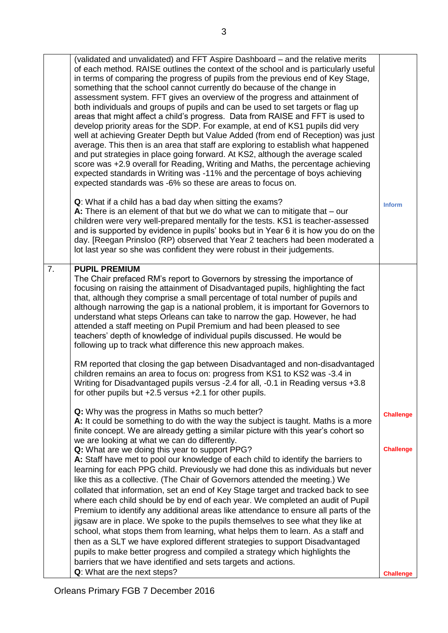| 7. | (validated and unvalidated) and FFT Aspire Dashboard – and the relative merits<br>of each method. RAISE outlines the context of the school and is particularly useful<br>in terms of comparing the progress of pupils from the previous end of Key Stage,<br>something that the school cannot currently do because of the change in<br>assessment system. FFT gives an overview of the progress and attainment of<br>both individuals and groups of pupils and can be used to set targets or flag up<br>areas that might affect a child's progress. Data from RAISE and FFT is used to<br>develop priority areas for the SDP. For example, at end of KS1 pupils did very<br>well at achieving Greater Depth but Value Added (from end of Reception) was just<br>average. This then is an area that staff are exploring to establish what happened<br>and put strategies in place going forward. At KS2, although the average scaled<br>score was +2.9 overall for Reading, Writing and Maths, the percentage achieving<br>expected standards in Writing was -11% and the percentage of boys achieving<br>expected standards was -6% so these are areas to focus on.<br>Q: What if a child has a bad day when sitting the exams?<br>A: There is an element of that but we do what we can to mitigate that $-$ our<br>children were very well-prepared mentally for the tests. KS1 is teacher-assessed<br>and is supported by evidence in pupils' books but in Year 6 it is how you do on the<br>day. [Reegan Prinsloo (RP) observed that Year 2 teachers had been moderated a<br>lot last year so she was confident they were robust in their judgements.<br><b>PUPIL PREMIUM</b><br>The Chair prefaced RM's report to Governors by stressing the importance of | <b>Inform</b>                        |
|----|----------------------------------------------------------------------------------------------------------------------------------------------------------------------------------------------------------------------------------------------------------------------------------------------------------------------------------------------------------------------------------------------------------------------------------------------------------------------------------------------------------------------------------------------------------------------------------------------------------------------------------------------------------------------------------------------------------------------------------------------------------------------------------------------------------------------------------------------------------------------------------------------------------------------------------------------------------------------------------------------------------------------------------------------------------------------------------------------------------------------------------------------------------------------------------------------------------------------------------------------------------------------------------------------------------------------------------------------------------------------------------------------------------------------------------------------------------------------------------------------------------------------------------------------------------------------------------------------------------------------------------------------------------------------------------------------------------------------------------------------------------------|--------------------------------------|
|    | focusing on raising the attainment of Disadvantaged pupils, highlighting the fact<br>that, although they comprise a small percentage of total number of pupils and<br>although narrowing the gap is a national problem, it is important for Governors to<br>understand what steps Orleans can take to narrow the gap. However, he had<br>attended a staff meeting on Pupil Premium and had been pleased to see<br>teachers' depth of knowledge of individual pupils discussed. He would be<br>following up to track what difference this new approach makes.<br>RM reported that closing the gap between Disadvantaged and non-disadvantaged                                                                                                                                                                                                                                                                                                                                                                                                                                                                                                                                                                                                                                                                                                                                                                                                                                                                                                                                                                                                                                                                                                                   |                                      |
|    | children remains an area to focus on: progress from KS1 to KS2 was -3.4 in<br>Writing for Disadvantaged pupils versus -2.4 for all, -0.1 in Reading versus +3.8<br>for other pupils but +2.5 versus +2.1 for other pupils.                                                                                                                                                                                                                                                                                                                                                                                                                                                                                                                                                                                                                                                                                                                                                                                                                                                                                                                                                                                                                                                                                                                                                                                                                                                                                                                                                                                                                                                                                                                                     |                                      |
|    | Q: Why was the progress in Maths so much better?<br>A: It could be something to do with the way the subject is taught. Maths is a more<br>finite concept. We are already getting a similar picture with this year's cohort so<br>we are looking at what we can do differently.<br>Q: What are we doing this year to support PPG?                                                                                                                                                                                                                                                                                                                                                                                                                                                                                                                                                                                                                                                                                                                                                                                                                                                                                                                                                                                                                                                                                                                                                                                                                                                                                                                                                                                                                               | <b>Challenge</b><br><b>Challenge</b> |
|    | A: Staff have met to pool our knowledge of each child to identify the barriers to<br>learning for each PPG child. Previously we had done this as individuals but never<br>like this as a collective. (The Chair of Governors attended the meeting.) We<br>collated that information, set an end of Key Stage target and tracked back to see<br>where each child should be by end of each year. We completed an audit of Pupil<br>Premium to identify any additional areas like attendance to ensure all parts of the<br>jigsaw are in place. We spoke to the pupils themselves to see what they like at<br>school, what stops them from learning, what helps them to learn. As a staff and<br>then as a SLT we have explored different strategies to support Disadvantaged<br>pupils to make better progress and compiled a strategy which highlights the<br>barriers that we have identified and sets targets and actions.                                                                                                                                                                                                                                                                                                                                                                                                                                                                                                                                                                                                                                                                                                                                                                                                                                    |                                      |
|    | Q: What are the next steps?                                                                                                                                                                                                                                                                                                                                                                                                                                                                                                                                                                                                                                                                                                                                                                                                                                                                                                                                                                                                                                                                                                                                                                                                                                                                                                                                                                                                                                                                                                                                                                                                                                                                                                                                    | <b>Challenge</b>                     |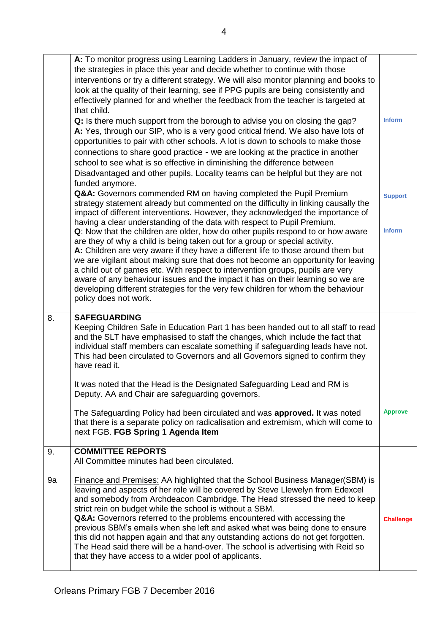|    | A: To monitor progress using Learning Ladders in January, review the impact of<br>the strategies in place this year and decide whether to continue with those<br>interventions or try a different strategy. We will also monitor planning and books to<br>look at the quality of their learning, see if PPG pupils are being consistently and<br>effectively planned for and whether the feedback from the teacher is targeted at<br>that child.<br>Q: Is there much support from the borough to advise you on closing the gap?                                                                                            | <b>Inform</b>  |
|----|----------------------------------------------------------------------------------------------------------------------------------------------------------------------------------------------------------------------------------------------------------------------------------------------------------------------------------------------------------------------------------------------------------------------------------------------------------------------------------------------------------------------------------------------------------------------------------------------------------------------------|----------------|
|    | A: Yes, through our SIP, who is a very good critical friend. We also have lots of<br>opportunities to pair with other schools. A lot is down to schools to make those<br>connections to share good practice - we are looking at the practice in another<br>school to see what is so effective in diminishing the difference between<br>Disadvantaged and other pupils. Locality teams can be helpful but they are not<br>funded anymore.                                                                                                                                                                                   |                |
|    | Q&A: Governors commended RM on having completed the Pupil Premium<br>strategy statement already but commented on the difficulty in linking causally the<br>impact of different interventions. However, they acknowledged the importance of<br>having a clear understanding of the data with respect to Pupil Premium.                                                                                                                                                                                                                                                                                                      | <b>Support</b> |
|    | Q: Now that the children are older, how do other pupils respond to or how aware<br>are they of why a child is being taken out for a group or special activity.<br>A: Children are very aware if they have a different life to those around them but<br>we are vigilant about making sure that does not become an opportunity for leaving<br>a child out of games etc. With respect to intervention groups, pupils are very<br>aware of any behaviour issues and the impact it has on their learning so we are<br>developing different strategies for the very few children for whom the behaviour<br>policy does not work. | <b>Inform</b>  |
| 8. | <b>SAFEGUARDING</b><br>Keeping Children Safe in Education Part 1 has been handed out to all staff to read<br>and the SLT have emphasised to staff the changes, which include the fact that                                                                                                                                                                                                                                                                                                                                                                                                                                 |                |
|    | individual staff members can escalate something if safeguarding leads have not.<br>This had been circulated to Governors and all Governors signed to confirm they<br>have read it.                                                                                                                                                                                                                                                                                                                                                                                                                                         |                |
|    | It was noted that the Head is the Designated Safeguarding Lead and RM is<br>Deputy. AA and Chair are safeguarding governors.                                                                                                                                                                                                                                                                                                                                                                                                                                                                                               |                |
|    | The Safeguarding Policy had been circulated and was approved. It was noted<br>that there is a separate policy on radicalisation and extremism, which will come to<br>next FGB. FGB Spring 1 Agenda Item                                                                                                                                                                                                                                                                                                                                                                                                                    | <b>Approve</b> |
| 9. | <b>COMMITTEE REPORTS</b><br>All Committee minutes had been circulated.                                                                                                                                                                                                                                                                                                                                                                                                                                                                                                                                                     |                |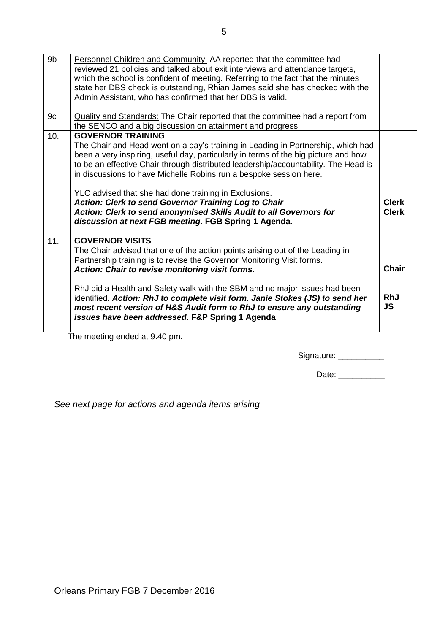| 9 <sub>b</sub> | Personnel Children and Community: AA reported that the committee had                                                 |                              |  |
|----------------|----------------------------------------------------------------------------------------------------------------------|------------------------------|--|
|                | reviewed 21 policies and talked about exit interviews and attendance targets,                                        |                              |  |
|                | which the school is confident of meeting. Referring to the fact that the minutes                                     |                              |  |
|                | state her DBS check is outstanding, Rhian James said she has checked with the                                        |                              |  |
|                | Admin Assistant, who has confirmed that her DBS is valid.                                                            |                              |  |
|                |                                                                                                                      |                              |  |
| 9c             | <b>Quality and Standards: The Chair reported that the committee had a report from</b>                                |                              |  |
|                | the SENCO and a big discussion on attainment and progress.                                                           |                              |  |
| 10.            | <b>GOVERNOR TRAINING</b>                                                                                             |                              |  |
|                | The Chair and Head went on a day's training in Leading in Partnership, which had                                     |                              |  |
|                | been a very inspiring, useful day, particularly in terms of the big picture and how                                  |                              |  |
|                | to be an effective Chair through distributed leadership/accountability. The Head is                                  |                              |  |
|                |                                                                                                                      |                              |  |
|                | in discussions to have Michelle Robins run a bespoke session here.                                                   |                              |  |
|                |                                                                                                                      |                              |  |
|                | YLC advised that she had done training in Exclusions.<br><b>Action: Clerk to send Governor Training Log to Chair</b> |                              |  |
|                |                                                                                                                      | <b>Clerk</b><br><b>Clerk</b> |  |
|                | Action: Clerk to send anonymised Skills Audit to all Governors for                                                   |                              |  |
|                | discussion at next FGB meeting. FGB Spring 1 Agenda.                                                                 |                              |  |
| 11.            | <b>GOVERNOR VISITS</b>                                                                                               |                              |  |
|                |                                                                                                                      |                              |  |
|                | The Chair advised that one of the action points arising out of the Leading in                                        |                              |  |
|                | Partnership training is to revise the Governor Monitoring Visit forms.                                               | <b>Chair</b>                 |  |
|                | Action: Chair to revise monitoring visit forms.                                                                      |                              |  |
|                | RhJ did a Health and Safety walk with the SBM and no major issues had been                                           |                              |  |
|                | identified. Action: RhJ to complete visit form. Janie Stokes (JS) to send her                                        | <b>RhJ</b>                   |  |
|                |                                                                                                                      | <b>JS</b>                    |  |
|                | most recent version of H&S Audit form to RhJ to ensure any outstanding                                               |                              |  |
|                | issues have been addressed. F&P Spring 1 Agenda                                                                      |                              |  |
|                |                                                                                                                      |                              |  |

The meeting ended at 9.40 pm.

Signature: \_\_\_\_\_\_\_\_\_\_\_\_

Date: \_\_\_\_\_\_\_\_\_\_

*See next page for actions and agenda items arising*